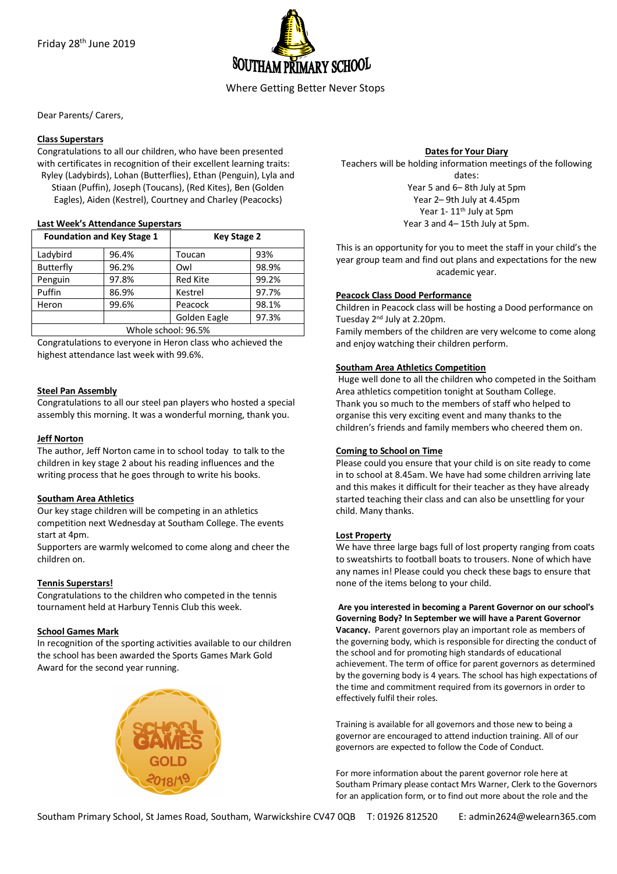

Dear Parents/ Carers,

### **Class Superstars**

Congratulations to all our children, who have been presented with certificates in recognition of their excellent learning traits: Ryley (Ladybirds), Lohan (Butterflies), Ethan (Penguin), Lyla and Stiaan (Puffin), Joseph (Toucans), (Red Kites), Ben (Golden Eagles), Aiden (Kestrel), Courtney and Charley (Peacocks)

### **Last Week's Attendance Superstars**

| <b>Foundation and Key Stage 1</b> |       | <b>Key Stage 2</b> |       |
|-----------------------------------|-------|--------------------|-------|
| Ladybird                          | 96.4% | Toucan             | 93%   |
| <b>Butterfly</b>                  | 96.2% | Owl                | 98.9% |
| Penguin                           | 97.8% | <b>Red Kite</b>    | 99.2% |
| Puffin                            | 86.9% | Kestrel            | 97.7% |
| Heron                             | 99.6% | Peacock            | 98.1% |
|                                   |       | Golden Eagle       | 97.3% |
| Whole school: 96.5%               |       |                    |       |

Congratulations to everyone in Heron class who achieved the highest attendance last week with 99.6%.

### **Steel Pan Assembly**

Congratulations to all our steel pan players who hosted a special assembly this morning. It was a wonderful morning, thank you.

### **Jeff Norton**

The author, Jeff Norton came in to school today to talk to the children in key stage 2 about his reading influences and the writing process that he goes through to write his books.

#### **Southam Area Athletics**

Our key stage children will be competing in an athletics competition next Wednesday at Southam College. The events start at 4pm.

Supporters are warmly welcomed to come along and cheer the children on.

# **Tennis Superstars!**

Congratulations to the children who competed in the tennis tournament held at Harbury Tennis Club this week.

# **School Games Mark**

In recognition of the sporting activities available to our children the school has been awarded the Sports Games Mark Gold Award for the second year running.



#### **Dates for Your Diary**

Teachers will be holding information meetings of the following dates: Year 5 and 6– 8th July at 5pm Year 2– 9th July at 4.45pm Year 1-11<sup>th</sup> July at 5pm Year 3 and 4– 15th July at 5pm.

This is an opportunity for you to meet the staff in your child's the year group team and find out plans and expectations for the new academic year.

# **Peacock Class Dood Performance**

Children in Peacock class will be hosting a Dood performance on Tuesday 2nd July at 2.20pm.

Family members of the children are very welcome to come along and enjoy watching their children perform.

# **Southam Area Athletics Competition**

Huge well done to all the children who competed in the Soitham Area athletics competition tonight at Southam College. Thank you so much to the members of staff who helped to organise this very exciting event and many thanks to the children's friends and family members who cheered them on.

#### **Coming to School on Time**

Please could you ensure that your child is on site ready to come in to school at 8.45am. We have had some children arriving late and this makes it difficult for their teacher as they have already started teaching their class and can also be unsettling for your child. Many thanks.

#### **Lost Property**

We have three large bags full of lost property ranging from coats to sweatshirts to football boats to trousers. None of which have any names in! Please could you check these bags to ensure that none of the items belong to your child.

**Are you interested in becoming a Parent Governor on our school's Governing Body? In September we will have a Parent Governor Vacancy.** Parent governors play an important role as members of the governing body, which is responsible for directing the conduct of the school and for promoting high standards of educational achievement. The term of office for parent governors as determined by the governing body is 4 years. The school has high expectations of the time and commitment required from its governors in order to effectively fulfil their roles.

Training is available for all governors and those new to being a governor are encouraged to attend induction training. All of our governors are expected to follow the Code of Conduct.

For more information about the parent governor role here at Southam Primary please contact Mrs Warner, Clerk to the Governors for an application form, or to find out more about the role and the